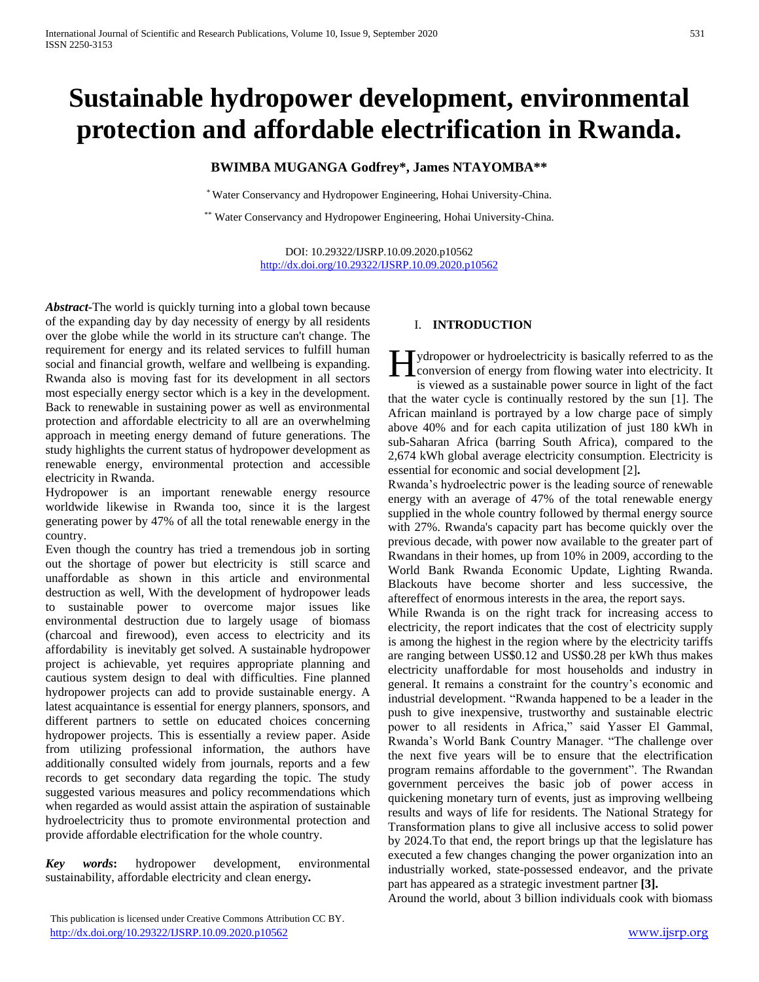# **Sustainable hydropower development, environmental protection and affordable electrification in Rwanda.**

# **BWIMBA MUGANGA Godfrey\*, James NTAYOMBA\*\***

\* Water Conservancy and Hydropower Engineering, Hohai University-China.

\*\* Water Conservancy and Hydropower Engineering, Hohai University-China.

DOI: 10.29322/IJSRP.10.09.2020.p10562 <http://dx.doi.org/10.29322/IJSRP.10.09.2020.p10562>

*Abstract***-**The world is quickly turning into a global town because of the expanding day by day necessity of energy by all residents over the globe while the world in its structure can't change. The requirement for energy and its related services to fulfill human social and financial growth, welfare and wellbeing is expanding. Rwanda also is moving fast for its development in all sectors most especially energy sector which is a key in the development. Back to renewable in sustaining power as well as environmental protection and affordable electricity to all are an overwhelming approach in meeting energy demand of future generations. The study highlights the current status of hydropower development as renewable energy, environmental protection and accessible electricity in Rwanda.

Hydropower is an important renewable energy resource worldwide likewise in Rwanda too, since it is the largest generating power by 47% of all the total renewable energy in the country.

Even though the country has tried a tremendous job in sorting out the shortage of power but electricity is still scarce and unaffordable as shown in this article and environmental destruction as well, With the development of hydropower leads to sustainable power to overcome major issues like environmental destruction due to largely usage of biomass (charcoal and firewood), even access to electricity and its affordability is inevitably get solved. A sustainable hydropower project is achievable, yet requires appropriate planning and cautious system design to deal with difficulties. Fine planned hydropower projects can add to provide sustainable energy. A latest acquaintance is essential for energy planners, sponsors, and different partners to settle on educated choices concerning hydropower projects. This is essentially a review paper. Aside from utilizing professional information, the authors have additionally consulted widely from journals, reports and a few records to get secondary data regarding the topic. The study suggested various measures and policy recommendations which when regarded as would assist attain the aspiration of sustainable hydroelectricity thus to promote environmental protection and provide affordable electrification for the whole country.

*Key words***:** hydropower development, environmental sustainability, affordable electricity and clean energy*.*

#### I. **INTRODUCTION**

**H** ydropower or hydroelectricity is basically referred to as the conversion of energy from flowing water into electricity. It conversion of energy from flowing water into electricity. It is viewed as a sustainable power source in light of the fact that the water cycle is continually restored by the sun [1]. The African mainland is portrayed by a low charge pace of simply above 40% and for each capita utilization of just 180 kWh in sub-Saharan Africa (barring South Africa), compared to the 2,674 kWh global average electricity consumption. Electricity is essential for economic and social development [2]**.**

Rwanda's hydroelectric power is the leading source of renewable energy with an average of 47% of the total renewable energy supplied in the whole country followed by thermal energy source with 27%. Rwanda's capacity part has become quickly over the previous decade, with power now available to the greater part of Rwandans in their homes, up from 10% in 2009, according to the World Bank Rwanda Economic Update, Lighting Rwanda. Blackouts have become shorter and less successive, the aftereffect of enormous interests in the area, the report says.

While Rwanda is on the right track for increasing access to electricity, the report indicates that the cost of electricity supply is among the highest in the region where by the electricity tariffs are ranging between US\$0.12 and US\$0.28 per kWh thus makes electricity unaffordable for most households and industry in general. It remains a constraint for the country's economic and industrial development. "Rwanda happened to be a leader in the push to give inexpensive, trustworthy and sustainable electric power to all residents in Africa," said Yasser El Gammal, Rwanda's World Bank Country Manager. "The challenge over the next five years will be to ensure that the electrification program remains affordable to the government". The Rwandan government perceives the basic job of power access in quickening monetary turn of events, just as improving wellbeing results and ways of life for residents. The National Strategy for Transformation plans to give all inclusive access to solid power by 2024.To that end, the report brings up that the legislature has executed a few changes changing the power organization into an industrially worked, state-possessed endeavor, and the private part has appeared as a strategic investment partner **[3].**

Around the world, about 3 billion individuals cook with biomass

This publication is licensed under Creative Commons Attribution CC BY. <http://dx.doi.org/10.29322/IJSRP.10.09.2020.p10562> [www.ijsrp.org](http://ijsrp.org/)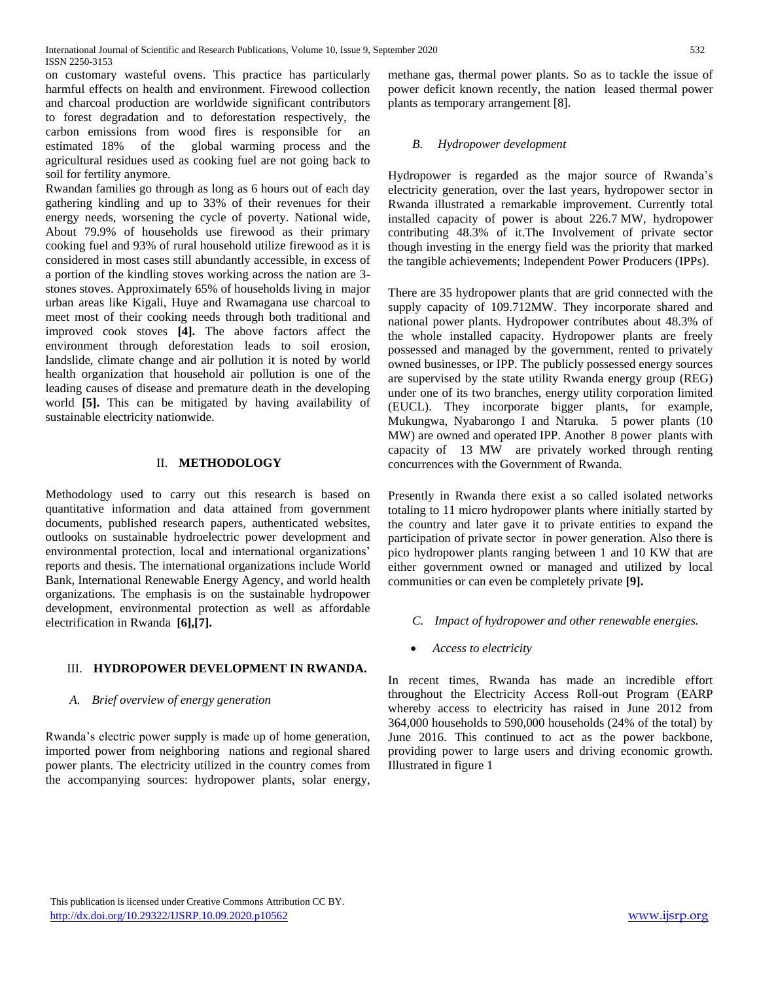on customary wasteful ovens. This practice has particularly harmful effects on health and environment. Firewood collection and charcoal production are worldwide significant contributors to forest degradation and to deforestation respectively, the carbon emissions from wood fires is responsible for an estimated 18% of the global warming process and the agricultural residues used as cooking fuel are not going back to soil for fertility anymore.

Rwandan families go through as long as 6 hours out of each day gathering kindling and up to 33% of their revenues for their energy needs, worsening the cycle of poverty. National wide, About 79.9% of households use firewood as their primary cooking fuel and 93% of rural household utilize firewood as it is considered in most cases still abundantly accessible, in excess of a portion of the kindling stoves working across the nation are 3 stones stoves. Approximately 65% of households living in major urban areas like Kigali, Huye and Rwamagana use charcoal to meet most of their cooking needs through both traditional and improved cook stoves **[4].** The above factors affect the environment through deforestation leads to soil erosion, landslide, climate change and air pollution it is noted by world health organization that household air pollution is one of the leading causes of disease and premature death in the developing world **[5].** This can be mitigated by having availability of sustainable electricity nationwide.

## II. **METHODOLOGY**

Methodology used to carry out this research is based on quantitative information and data attained from government documents, published research papers, authenticated websites, outlooks on sustainable hydroelectric power development and environmental protection, local and international organizations' reports and thesis. The international organizations include World Bank, International Renewable Energy Agency, and world health organizations. The emphasis is on the sustainable hydropower development, environmental protection as well as affordable electrification in Rwanda **[6],[7].**

## III. **HYDROPOWER DEVELOPMENT IN RWANDA.**

## *A. Brief overview of energy generation*

Rwanda's electric power supply is made up of home generation, imported power from neighboring nations and regional shared power plants. The electricity utilized in the country comes from the accompanying sources: hydropower plants, solar energy,

methane gas, thermal power plants. So as to tackle the issue of power deficit known recently, the nation leased thermal power plants as temporary arrangement [8].

## *B. Hydropower development*

Hydropower is regarded as the major source of Rwanda's electricity generation, over the last years, hydropower sector in Rwanda illustrated a remarkable improvement. Currently total installed capacity of power is about 226.7 MW, hydropower contributing 48.3% of it.The Involvement of private sector though investing in the energy field was the priority that marked the tangible achievements; Independent Power Producers (IPPs).

There are 35 hydropower plants that are grid connected with the supply capacity of 109.712MW. They incorporate shared and national power plants. Hydropower contributes about 48.3% of the whole installed capacity. Hydropower plants are freely possessed and managed by the government, rented to privately owned businesses, or IPP. The publicly possessed energy sources are supervised by the state utility Rwanda energy group (REG) under one of its two branches, energy utility corporation limited (EUCL). They incorporate bigger plants, for example, Mukungwa, Nyabarongo I and Ntaruka. 5 power plants (10 MW) are owned and operated IPP. Another 8 power plants with capacity of 13 MW are privately worked through renting concurrences with the Government of Rwanda.

Presently in Rwanda there exist a so called isolated networks totaling to 11 micro hydropower plants where initially started by the country and later gave it to private entities to expand the participation of private sector in power generation. Also there is pico hydropower plants ranging between 1 and 10 KW that are either government owned or managed and utilized by local communities or can even be completely private **[9].**

- *C. Impact of hydropower and other renewable energies.*
- *Access to electricity*

In recent times, Rwanda has made an incredible effort throughout the Electricity Access Roll-out Program (EARP whereby access to electricity has raised in June 2012 from 364,000 households to 590,000 households (24% of the total) by June 2016. This continued to act as the power backbone, providing power to large users and driving economic growth. Illustrated in figure 1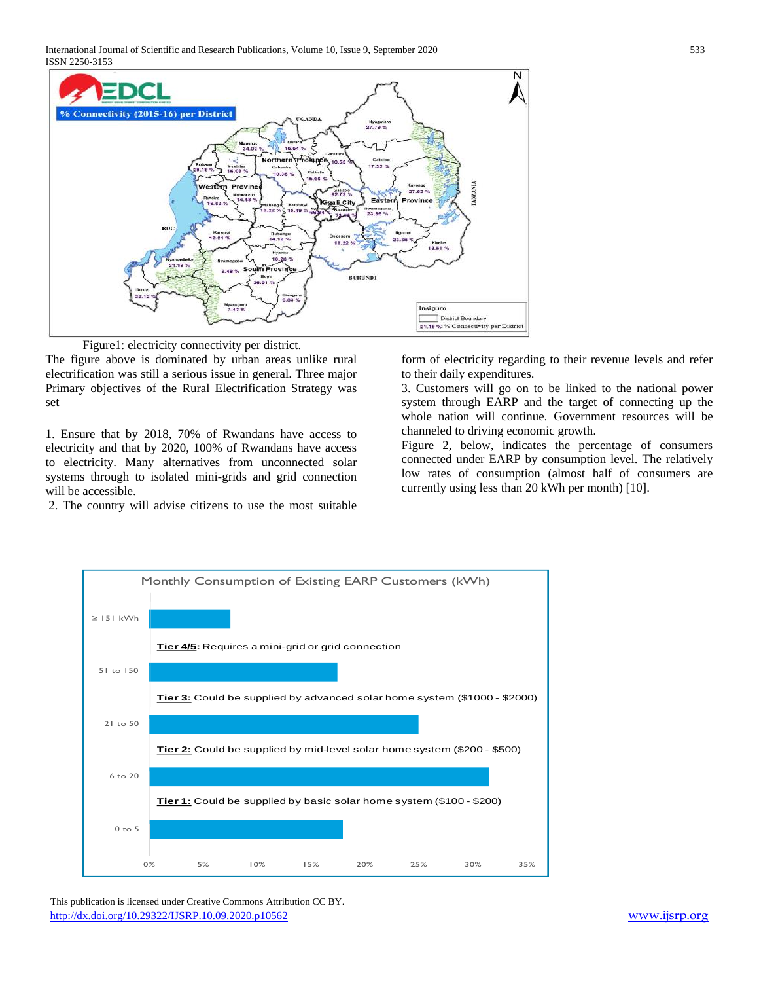International Journal of Scientific and Research Publications, Volume 10, Issue 9, September 2020 533 ISSN 2250-3153



Figure1: electricity connectivity per district.

The figure above is dominated by urban areas unlike rural electrification was still a serious issue in general. Three major Primary objectives of the Rural Electrification Strategy was set

1. Ensure that by 2018, 70% of Rwandans have access to electricity and that by 2020, 100% of Rwandans have access to electricity. Many alternatives from unconnected solar systems through to isolated mini-grids and grid connection will be accessible.

2. The country will advise citizens to use the most suitable

form of electricity regarding to their revenue levels and refer to their daily expenditures.

3. Customers will go on to be linked to the national power system through EARP and the target of connecting up the whole nation will continue. Government resources will be channeled to driving economic growth.

Figure 2, below, indicates the percentage of consumers connected under EARP by consumption level. The relatively low rates of consumption (almost half of consumers are currently using less than 20 kWh per month) [10].



 This publication is licensed under Creative Commons Attribution CC BY. <http://dx.doi.org/10.29322/IJSRP.10.09.2020.p10562> [www.ijsrp.org](http://ijsrp.org/)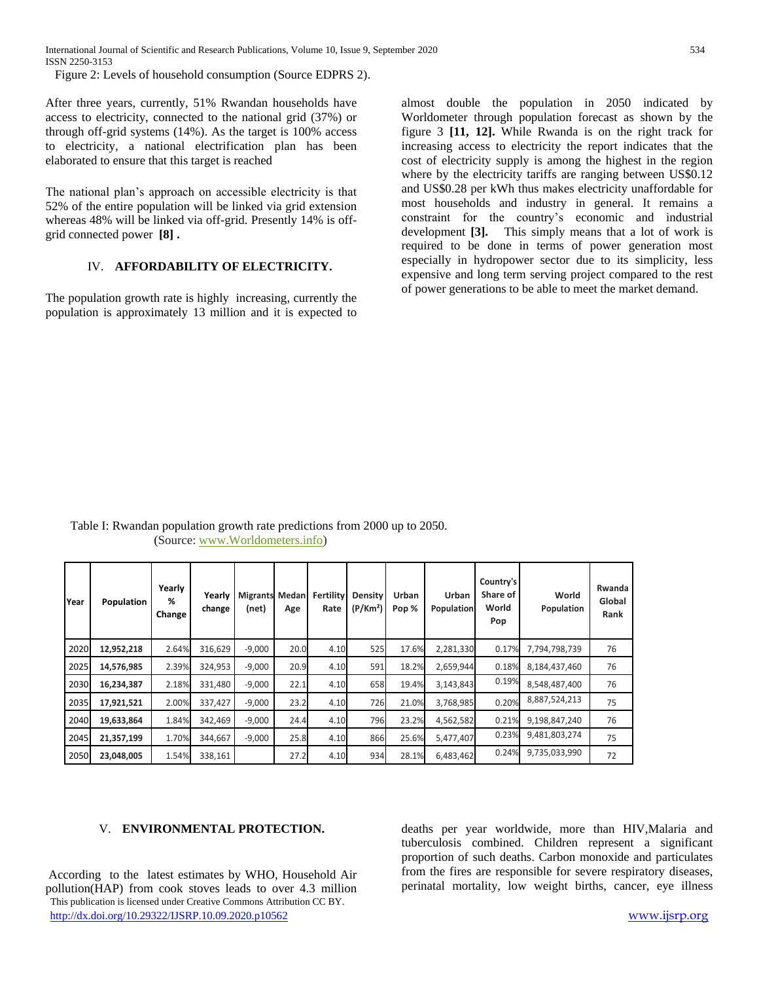Figure 2: Levels of household consumption (Source EDPRS 2).

After three years, currently, 51% Rwandan households have access to electricity, connected to the national grid (37%) or through off-grid systems (14%). As the target is 100% access to electricity, a national electrification plan has been elaborated to ensure that this target is reached

The national plan's approach on accessible electricity is that 52% of the entire population will be linked via grid extension whereas 48% will be linked via off-grid. Presently 14% is offgrid connected power **[8] .**

## IV. **AFFORDABILITY OF ELECTRICITY.**

The population growth rate is highly increasing, currently the population is approximately 13 million and it is expected to almost double the population in 2050 indicated by Worldometer through population forecast as shown by the figure 3 **[11, 12].** While Rwanda is on the right track for increasing access to electricity the report indicates that the cost of electricity supply is among the highest in the region where by the electricity tariffs are ranging between US\$0.12 and US\$0.28 per kWh thus makes electricity unaffordable for most households and industry in general. It remains a constraint for the country's economic and industrial development **[3].** This simply means that a lot of work is required to be done in terms of power generation most especially in hydropower sector due to its simplicity, less expensive and long term serving project compared to the rest of power generations to be able to meet the market demand.

| Year | Population | Yearly<br>%<br>Change | Yearly<br>change | <b>Migrants</b><br>(net) | Medan<br>Age | Fertility<br>Rate | <b>Density</b><br>(P/Km <sup>2</sup> ) | Urban<br>Pop % | Urban<br>Population | Country's<br>Share of<br>World<br>Pop | World<br>Population | Rwanda<br>Global<br>Rank |
|------|------------|-----------------------|------------------|--------------------------|--------------|-------------------|----------------------------------------|----------------|---------------------|---------------------------------------|---------------------|--------------------------|
| 2020 | 12,952,218 | 2.64%                 | 316,629          | $-9,000$                 | 20.0         | 4.10              | 525                                    | 17.6%          | 2,281,330           | 0.17%                                 | 7,794,798,739       | 76                       |
| 2025 | 14,576,985 | 2.39%                 | 324,953          | $-9,000$                 | 20.9         | 4.10              | 591                                    | 18.2%          | 2,659,944           | 0.18%                                 | 8,184,437,460       | 76                       |
| 2030 | 16,234,387 | 2.18%                 | 331.480          | $-9,000$                 | 22.1         | 4.10              | 658                                    | 19.4%          | 3,143,843           | 0.19%                                 | 8,548,487,400       | 76                       |
| 2035 | 17,921,521 | 2.00%                 | 337,427          | $-9,000$                 | 23.2         | 4.10              | 726                                    | 21.0%          | 3,768,985           | 0.20%                                 | 8,887,524,213       | 75                       |
| 2040 | 19,633,864 | 1.84%                 | 342,469          | $-9,000$                 | 24.4         | 4.10              | 796                                    | 23.2%          | 4,562,582           | 0.21%                                 | 9,198,847,240       | 76                       |
| 2045 | 21,357,199 | 1.70%                 | 344,667          | $-9,000$                 | 25.8         | 4.10              | 866                                    | 25.6%          | 5,477,407           | 0.23%                                 | 9,481,803,274       | 75                       |
| 2050 | 23,048,005 | 1.54%                 | 338,161          |                          | 27.2         | 4.10              | 934                                    | 28.1%          | 6,483,462           | 0.24%                                 | 9,735,033,990       | 72                       |

 Table I: Rwandan population growth rate predictions from 2000 up to 2050. (Source: [www.Worldometers.info\)](https://www.worldometers.info/)

#### V. **ENVIRONMENTAL PROTECTION.**

 This publication is licensed under Creative Commons Attribution CC BY. <http://dx.doi.org/10.29322/IJSRP.10.09.2020.p10562> [www.ijsrp.org](http://ijsrp.org/) According to the latest estimates by WHO, Household Air pollution(HAP) from cook stoves leads to over 4.3 million

deaths per year worldwide, more than HIV,Malaria and tuberculosis combined. Children represent a significant proportion of such deaths. Carbon monoxide and particulates from the fires are responsible for severe respiratory diseases, perinatal mortality, low weight births, cancer, eye illness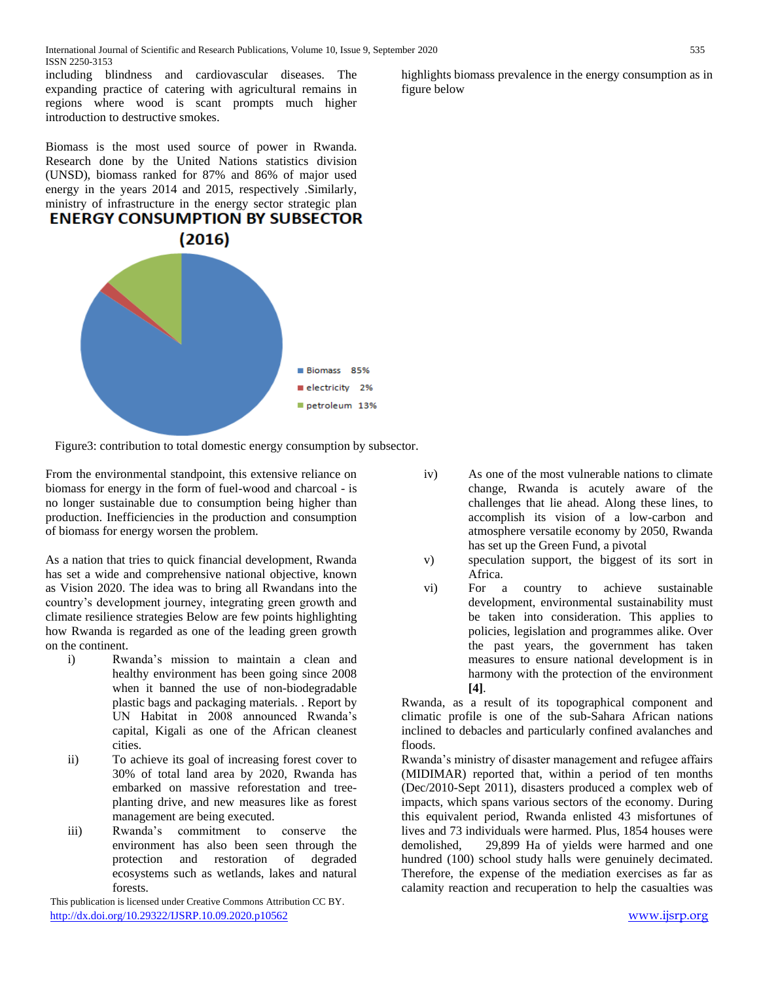including blindness and cardiovascular diseases. The expanding practice of catering with agricultural remains in regions where wood is scant prompts much higher introduction to destructive smokes.

Biomass is the most used source of power in Rwanda. Research done by the United Nations statistics division (UNSD), biomass ranked for 87% and 86% of major used energy in the years 2014 and 2015, respectively .Similarly, ministry of infrastructure in the energy sector strategic plan





Figure3: contribution to total domestic energy consumption by subsector.

From the environmental standpoint, this extensive reliance on biomass for energy in the form of fuel-wood and charcoal - is no longer sustainable due to consumption being higher than production. Inefficiencies in the production and consumption of biomass for energy worsen the problem.

As a nation that tries to quick financial development, Rwanda has set a wide and comprehensive national objective, known as Vision 2020. The idea was to bring all Rwandans into the country's development journey, integrating green growth and climate resilience strategies Below are few points highlighting how Rwanda is regarded as one of the leading green growth on the continent.

- i) Rwanda's mission to maintain a clean and healthy environment has been going since 2008 when it banned the use of non-biodegradable plastic bags and packaging materials. . Report by UN Habitat in 2008 announced Rwanda's capital, Kigali as one of the African cleanest cities.
- ii) To achieve its goal of increasing forest cover to 30% of total land area by 2020, Rwanda has embarked on massive reforestation and treeplanting drive, and new measures like as forest management are being executed.
- iii) Rwanda's commitment to conserve the environment has also been seen through the protection and restoration of degraded ecosystems such as wetlands, lakes and natural forests.

 This publication is licensed under Creative Commons Attribution CC BY. <http://dx.doi.org/10.29322/IJSRP.10.09.2020.p10562> [www.ijsrp.org](http://ijsrp.org/)

- iv) As one of the most vulnerable nations to climate change, Rwanda is acutely aware of the challenges that lie ahead. Along these lines, to accomplish its vision of a low-carbon and atmosphere versatile economy by 2050, Rwanda has set up the Green Fund, a pivotal
- v) speculation support, the biggest of its sort in Africa.
- vi) For a country to achieve sustainable development, environmental sustainability must be taken into consideration. This applies to policies, legislation and programmes alike. Over the past years, the government has taken measures to ensure national development is in harmony with the protection of the environment **[4]**.

Rwanda, as a result of its topographical component and climatic profile is one of the sub-Sahara African nations inclined to debacles and particularly confined avalanches and floods.

Rwanda's ministry of disaster management and refugee affairs (MIDIMAR) reported that, within a period of ten months (Dec/2010-Sept 2011), disasters produced a complex web of impacts, which spans various sectors of the economy. During this equivalent period, Rwanda enlisted 43 misfortunes of lives and 73 individuals were harmed. Plus, 1854 houses were demolished, 29,899 Ha of yields were harmed and one hundred (100) school study halls were genuinely decimated. Therefore, the expense of the mediation exercises as far as calamity reaction and recuperation to help the casualties was

highlights biomass prevalence in the energy consumption as in figure below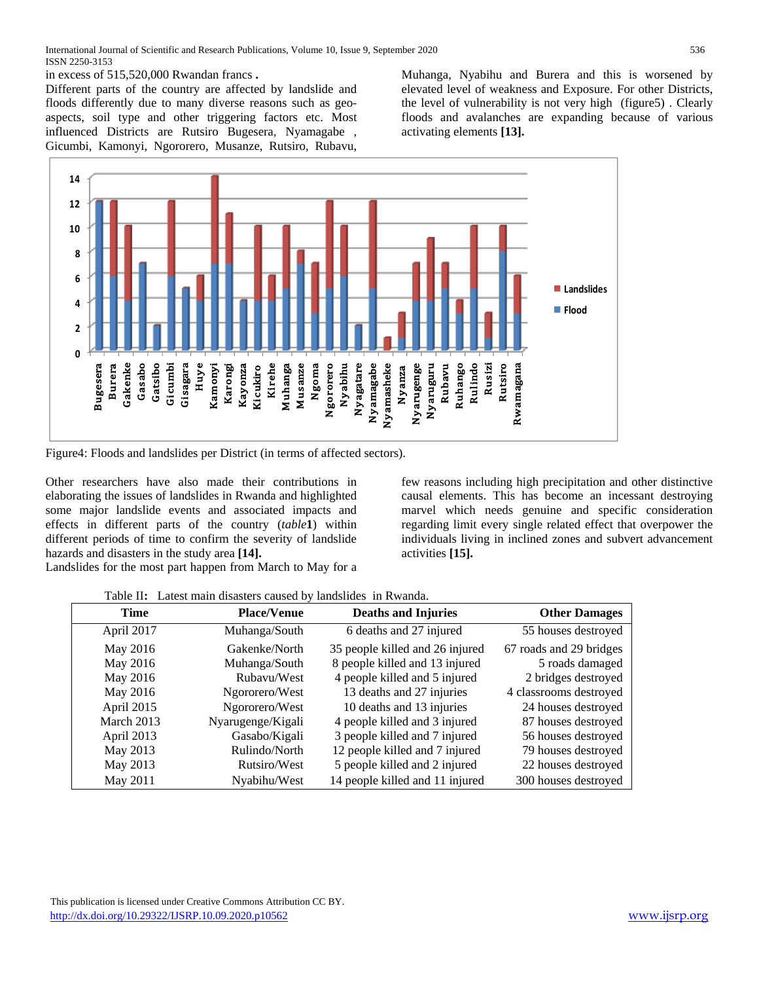in excess of 515,520,000 Rwandan francs **.**

Different parts of the country are affected by landslide and floods differently due to many diverse reasons such as geoaspects, soil type and other triggering factors etc. Most influenced Districts are Rutsiro Bugesera, Nyamagabe , Gicumbi, Kamonyi, Ngororero, Musanze, Rutsiro, Rubavu, Muhanga, Nyabihu and Burera and this is worsened by elevated level of weakness and Exposure. For other Districts, the level of vulnerability is not very high (figure5) . Clearly floods and avalanches are expanding because of various activating elements **[13].**



Figure4: Floods and landslides per District (in terms of affected sectors).

Other researchers have also made their contributions in elaborating the issues of landslides in Rwanda and highlighted some major landslide events and associated impacts and effects in different parts of the country (*table***1**) within different periods of time to confirm the severity of landslide hazards and disasters in the study area **[14].** 

few reasons including high precipitation and other distinctive causal elements. This has become an incessant destroying marvel which needs genuine and specific consideration regarding limit every single related effect that overpower the individuals living in inclined zones and subvert advancement activities **[15].**

Landslides for the most part happen from March to May for a

| Time       | <b>Place/Venue</b> | <b>Deaths and Injuries</b>      | <b>Other Damages</b>    |
|------------|--------------------|---------------------------------|-------------------------|
| April 2017 | Muhanga/South      | 6 deaths and 27 injured         | 55 houses destroyed     |
| May 2016   | Gakenke/North      | 35 people killed and 26 injured | 67 roads and 29 bridges |
| May 2016   | Muhanga/South      | 8 people killed and 13 injured  | 5 roads damaged         |
| May 2016   | Rubavu/West        | 4 people killed and 5 injured   | 2 bridges destroyed     |
| May 2016   | Ngororero/West     | 13 deaths and 27 injuries       | 4 classrooms destroyed  |
| April 2015 | Ngororero/West     | 10 deaths and 13 injuries       | 24 houses destroyed     |
| March 2013 | Nyarugenge/Kigali  | 4 people killed and 3 injured   | 87 houses destroyed     |
| April 2013 | Gasabo/Kigali      | 3 people killed and 7 injured   | 56 houses destroyed     |
| May 2013   | Rulindo/North      | 12 people killed and 7 injured  | 79 houses destroyed     |
| May 2013   | Rutsiro/West       | 5 people killed and 2 injured   | 22 houses destroyed     |
| May 2011   | Nyabihu/West       | 14 people killed and 11 injured | 300 houses destroyed    |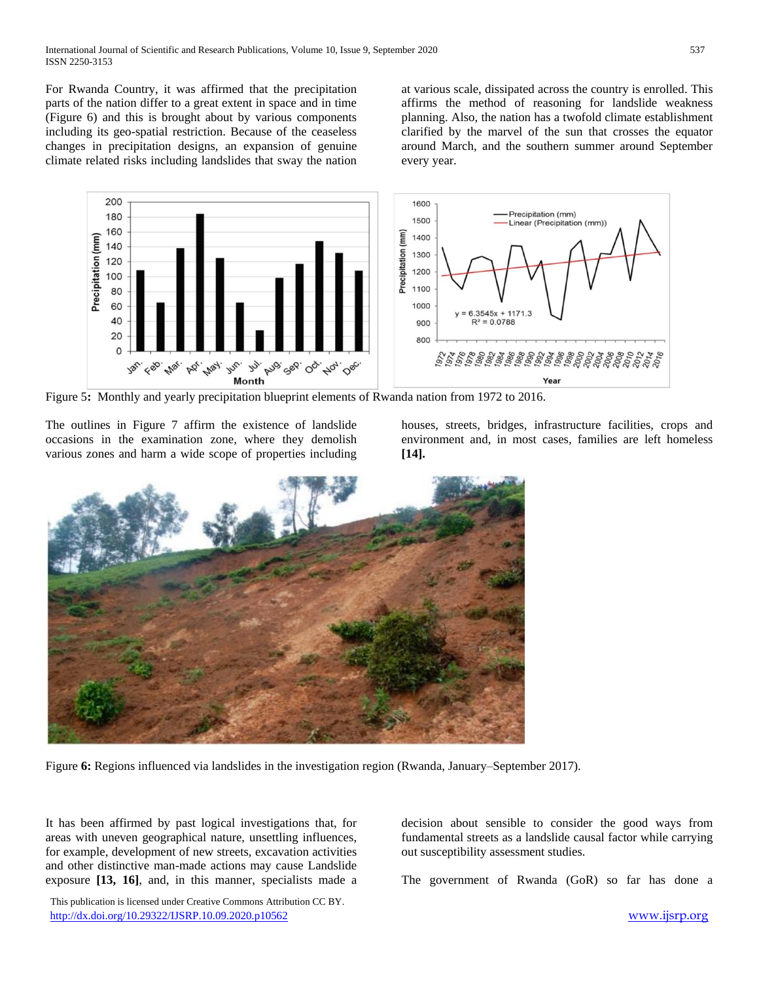For Rwanda Country, it was affirmed that the precipitation parts of the nation differ to a great extent in space and in time (Figure 6) and this is brought about by various components including its geo-spatial restriction. Because of the ceaseless changes in precipitation designs, an expansion of genuine climate related risks including landslides that sway the nation

at various scale, dissipated across the country is enrolled. This affirms the method of reasoning for landslide weakness planning. Also, the nation has a twofold climate establishment clarified by the marvel of the sun that crosses the equator around March, and the southern summer around September every year.



Figure 5**:** Monthly and yearly precipitation blueprint elements of Rwanda nation from 1972 to 2016.

The outlines in Figure 7 affirm the existence of landslide occasions in the examination zone, where they demolish various zones and harm a wide scope of properties including houses, streets, bridges, infrastructure facilities, crops and environment and, in most cases, families are left homeless **[14].**



Figure **6:** Regions influenced via landslides in the investigation region (Rwanda, January–September 2017).

It has been affirmed by past logical investigations that, for areas with uneven geographical nature, unsettling influences, for example, development of new streets, excavation activities and other distinctive man-made actions may cause Landslide exposure **[13, 16]**, and, in this manner, specialists made a

 This publication is licensed under Creative Commons Attribution CC BY. <http://dx.doi.org/10.29322/IJSRP.10.09.2020.p10562> [www.ijsrp.org](http://ijsrp.org/)

decision about sensible to consider the good ways from fundamental streets as a landslide causal factor while carrying out susceptibility assessment studies.

The government of Rwanda (GoR) so far has done a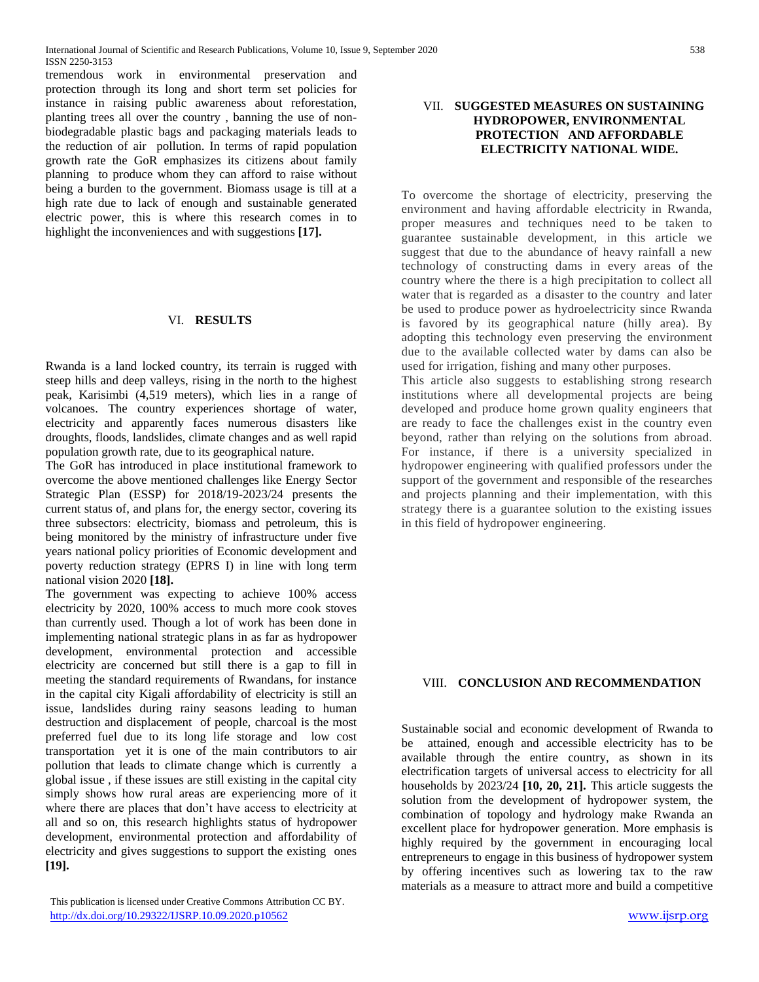tremendous work in environmental preservation and protection through its long and short term set policies for instance in raising public awareness about reforestation, planting trees all over the country , banning the use of nonbiodegradable plastic bags and packaging materials leads to the reduction of air pollution. In terms of rapid population growth rate the GoR emphasizes its citizens about family planning to produce whom they can afford to raise without being a burden to the government. Biomass usage is till at a high rate due to lack of enough and sustainable generated electric power, this is where this research comes in to highlight the inconveniences and with suggestions **[17].**

#### VI. **RESULTS**

Rwanda is a land locked country, its terrain is rugged with steep hills and deep valleys, rising in the north to the highest peak, Karisimbi (4,519 meters), which lies in a range of volcanoes. The country experiences shortage of water, electricity and apparently faces numerous disasters like droughts, floods, landslides, climate changes and as well rapid population growth rate, due to its geographical nature.

The GoR has introduced in place institutional framework to overcome the above mentioned challenges like Energy Sector Strategic Plan (ESSP) for 2018/19-2023/24 presents the current status of, and plans for, the energy sector, covering its three subsectors: electricity, biomass and petroleum, this is being monitored by the ministry of infrastructure under five years national policy priorities of Economic development and poverty reduction strategy (EPRS I) in line with long term national vision 2020 **[18].** 

The government was expecting to achieve 100% access electricity by 2020, 100% access to much more cook stoves than currently used. Though a lot of work has been done in implementing national strategic plans in as far as hydropower development, environmental protection and accessible electricity are concerned but still there is a gap to fill in meeting the standard requirements of Rwandans, for instance in the capital city Kigali affordability of electricity is still an issue, landslides during rainy seasons leading to human destruction and displacement of people, charcoal is the most preferred fuel due to its long life storage and low cost transportation yet it is one of the main contributors to air pollution that leads to climate change which is currently a global issue , if these issues are still existing in the capital city simply shows how rural areas are experiencing more of it where there are places that don't have access to electricity at all and so on, this research highlights status of hydropower development, environmental protection and affordability of electricity and gives suggestions to support the existing ones **[19].**

## VII. **SUGGESTED MEASURES ON SUSTAINING HYDROPOWER, ENVIRONMENTAL PROTECTION AND AFFORDABLE ELECTRICITY NATIONAL WIDE.**

To overcome the shortage of electricity, preserving the environment and having affordable electricity in Rwanda, proper measures and techniques need to be taken to guarantee sustainable development, in this article we suggest that due to the abundance of heavy rainfall a new technology of constructing dams in every areas of the country where the there is a high precipitation to collect all water that is regarded as a disaster to the country and later be used to produce power as hydroelectricity since Rwanda is favored by its geographical nature (hilly area). By adopting this technology even preserving the environment due to the available collected water by dams can also be used for irrigation, fishing and many other purposes.

This article also suggests to establishing strong research institutions where all developmental projects are being developed and produce home grown quality engineers that are ready to face the challenges exist in the country even beyond, rather than relying on the solutions from abroad. For instance, if there is a university specialized in hydropower engineering with qualified professors under the support of the government and responsible of the researches and projects planning and their implementation, with this strategy there is a guarantee solution to the existing issues in this field of hydropower engineering.

#### VIII. **CONCLUSION AND RECOMMENDATION**

Sustainable social and economic development of Rwanda to be attained, enough and accessible electricity has to be available through the entire country, as shown in its electrification targets of universal access to electricity for all households by 2023/24 **[10, 20, 21].** This article suggests the solution from the development of hydropower system, the combination of topology and hydrology make Rwanda an excellent place for hydropower generation. More emphasis is highly required by the government in encouraging local entrepreneurs to engage in this business of hydropower system by offering incentives such as lowering tax to the raw materials as a measure to attract more and build a competitive

This publication is licensed under Creative Commons Attribution CC BY. <http://dx.doi.org/10.29322/IJSRP.10.09.2020.p10562> [www.ijsrp.org](http://ijsrp.org/)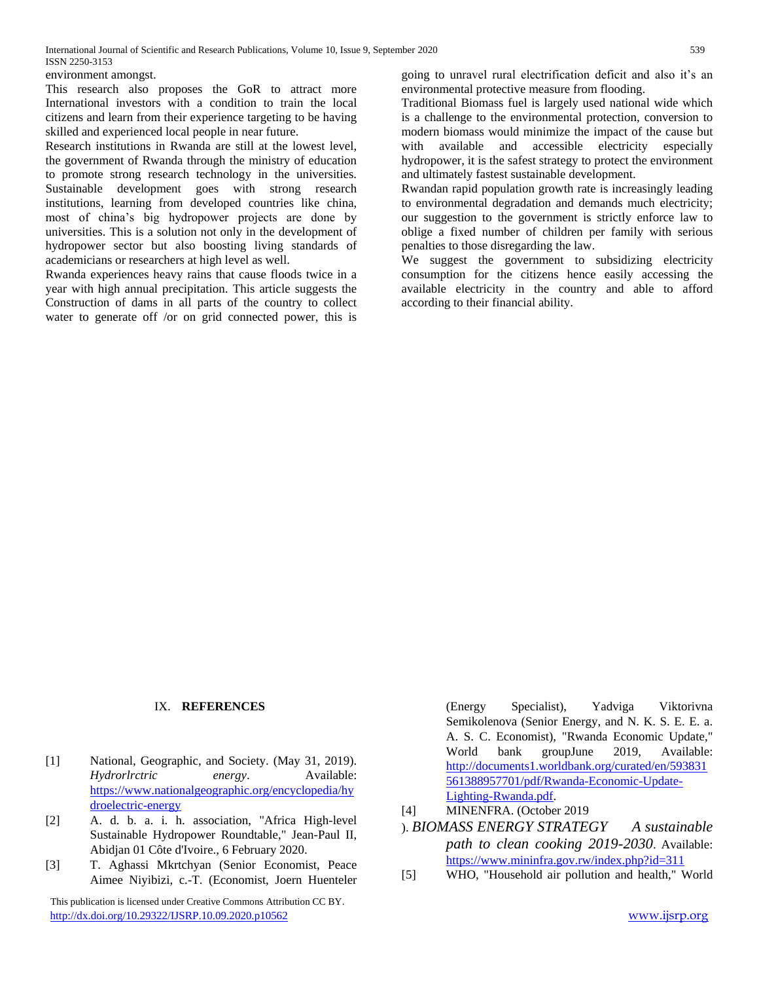environment amongst.

This research also proposes the GoR to attract more International investors with a condition to train the local citizens and learn from their experience targeting to be having skilled and experienced local people in near future.

Research institutions in Rwanda are still at the lowest level, the government of Rwanda through the ministry of education to promote strong research technology in the universities. Sustainable development goes with strong research institutions, learning from developed countries like china, most of china's big hydropower projects are done by universities. This is a solution not only in the development of hydropower sector but also boosting living standards of academicians or researchers at high level as well.

Rwanda experiences heavy rains that cause floods twice in a year with high annual precipitation. This article suggests the Construction of dams in all parts of the country to collect water to generate off /or on grid connected power, this is

going to unravel rural electrification deficit and also it's an environmental protective measure from flooding.

Traditional Biomass fuel is largely used national wide which is a challenge to the environmental protection, conversion to modern biomass would minimize the impact of the cause but with available and accessible electricity especially hydropower, it is the safest strategy to protect the environment and ultimately fastest sustainable development.

Rwandan rapid population growth rate is increasingly leading to environmental degradation and demands much electricity; our suggestion to the government is strictly enforce law to oblige a fixed number of children per family with serious penalties to those disregarding the law.

We suggest the government to subsidizing electricity consumption for the citizens hence easily accessing the available electricity in the country and able to afford according to their financial ability.

#### IX. **REFERENCES**

- [1] National, Geographic, and Society. (May 31, 2019). *Hydrorlrctric energy*. Available: [https://www.nationalgeographic.org/encyclopedia/hy](https://www.nationalgeographic.org/encyclopedia/hydroelectric-energy) [droelectric-energy](https://www.nationalgeographic.org/encyclopedia/hydroelectric-energy)
- [2] A. d. b. a. i. h. association, "Africa High-level Sustainable Hydropower Roundtable," Jean-Paul II, Abidjan 01 Côte d'Ivoire., 6 February 2020.
- [3] T. Aghassi Mkrtchyan (Senior Economist, Peace Aimee Niyibizi, c.-T. (Economist, Joern Huenteler

 This publication is licensed under Creative Commons Attribution CC BY. <http://dx.doi.org/10.29322/IJSRP.10.09.2020.p10562> [www.ijsrp.org](http://ijsrp.org/)

(Energy Specialist), Yadviga Viktorivna Semikolenova (Senior Energy, and N. K. S. E. E. a. A. S. C. Economist), "Rwanda Economic Update," World bank groupJune 2019, Available: [http://documents1.worldbank.org/curated/en/593831](http://documents1.worldbank.org/curated/en/593831561388957701/pdf/Rwanda-Economic-Update-Lighting-Rwanda.pdf) [561388957701/pdf/Rwanda-Economic-Update-](http://documents1.worldbank.org/curated/en/593831561388957701/pdf/Rwanda-Economic-Update-Lighting-Rwanda.pdf)[Lighting-Rwanda.pdf.](http://documents1.worldbank.org/curated/en/593831561388957701/pdf/Rwanda-Economic-Update-Lighting-Rwanda.pdf)

- [4] MINENFRA. (October 2019
- ). *BIOMASS ENERGY STRATEGY A sustainable path to clean cooking 2019-2030*. Available: <https://www.mininfra.gov.rw/index.php?id=311>
- [5] WHO, "Household air pollution and health," World